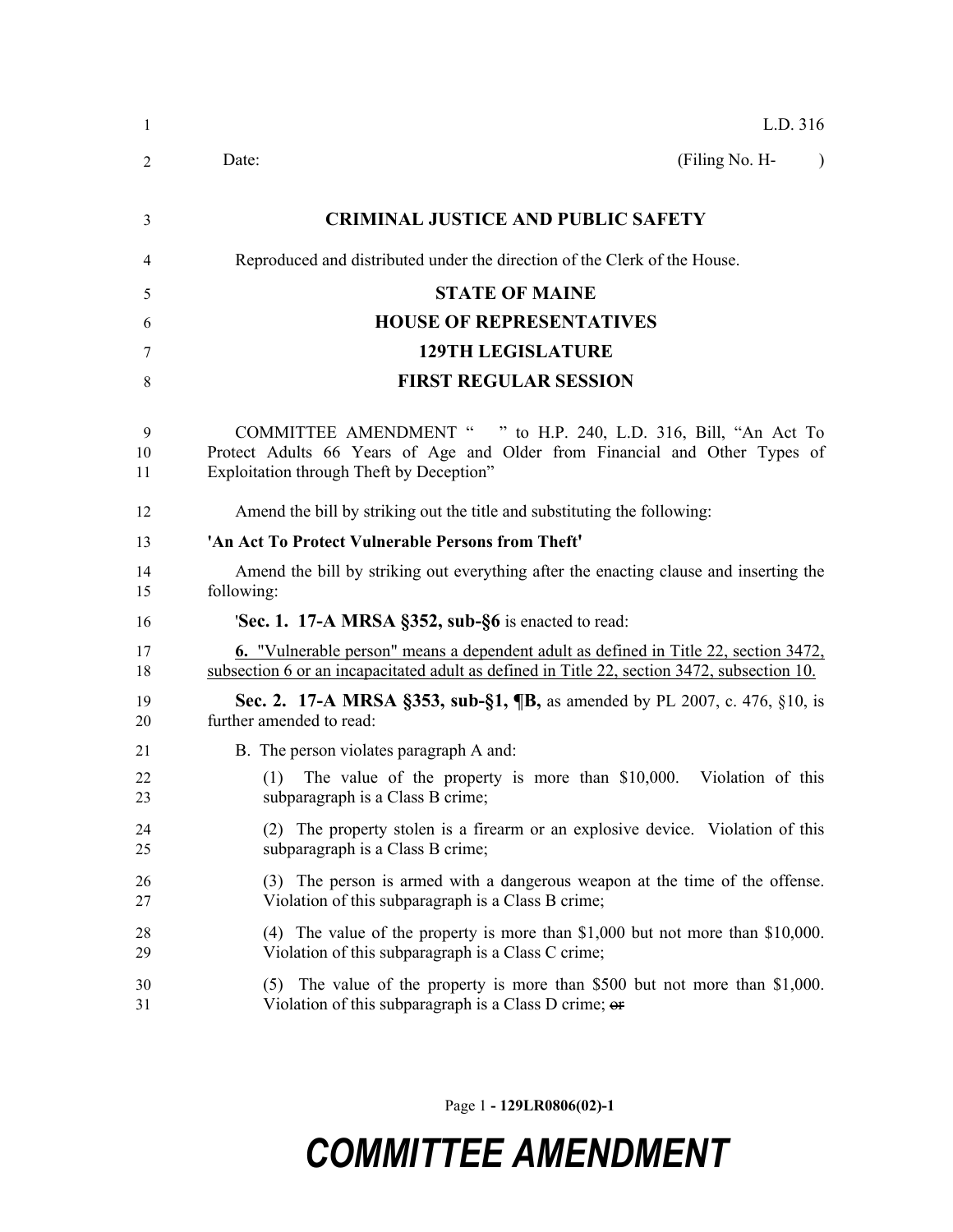| -1            | L.D. 316                                                                                                                                                                                   |  |  |
|---------------|--------------------------------------------------------------------------------------------------------------------------------------------------------------------------------------------|--|--|
| 2             | (Filing No. H-<br>Date:<br>$\lambda$                                                                                                                                                       |  |  |
| 3             | <b>CRIMINAL JUSTICE AND PUBLIC SAFETY</b>                                                                                                                                                  |  |  |
| 4             | Reproduced and distributed under the direction of the Clerk of the House.                                                                                                                  |  |  |
| 5             | <b>STATE OF MAINE</b>                                                                                                                                                                      |  |  |
| 6             | <b>HOUSE OF REPRESENTATIVES</b>                                                                                                                                                            |  |  |
| 7             | <b>129TH LEGISLATURE</b>                                                                                                                                                                   |  |  |
| 8             | <b>FIRST REGULAR SESSION</b>                                                                                                                                                               |  |  |
| 9<br>10<br>11 | COMMITTEE AMENDMENT " " to H.P. 240, L.D. 316, Bill, "An Act To<br>Protect Adults 66 Years of Age and Older from Financial and Other Types of<br>Exploitation through Theft by Deception"  |  |  |
| 12            | Amend the bill by striking out the title and substituting the following:                                                                                                                   |  |  |
| 13            | 'An Act To Protect Vulnerable Persons from Theft'                                                                                                                                          |  |  |
| 14<br>15      | Amend the bill by striking out everything after the enacting clause and inserting the<br>following:                                                                                        |  |  |
| 16            | <b>Sec. 1. 17-A MRSA §352, sub-§6</b> is enacted to read:                                                                                                                                  |  |  |
| 17<br>18      | <b>6.</b> "Vulnerable person" means a dependent adult as defined in Title 22, section 3472,<br>subsection 6 or an incapacitated adult as defined in Title 22, section 3472, subsection 10. |  |  |
| 19<br>20      | Sec. 2. 17-A MRSA §353, sub-§1, ¶B, as amended by PL 2007, c. 476, §10, is<br>further amended to read:                                                                                     |  |  |
| 21            | B. The person violates paragraph A and:                                                                                                                                                    |  |  |
| 22<br>23      | The value of the property is more than \$10,000.<br>Violation of this<br>(1)<br>subparagraph is a Class B crime;                                                                           |  |  |
| 24<br>25      | (2) The property stolen is a firearm or an explosive device. Violation of this<br>subparagraph is a Class B crime;                                                                         |  |  |
| 26<br>27      | (3) The person is armed with a dangerous weapon at the time of the offense.<br>Violation of this subparagraph is a Class B crime;                                                          |  |  |
| 28<br>29      | (4) The value of the property is more than \$1,000 but not more than \$10,000.<br>Violation of this subparagraph is a Class C crime;                                                       |  |  |
| 30<br>31      | $(5)$ The value of the property is more than \$500 but not more than \$1,000.<br>Violation of this subparagraph is a Class D crime; $\theta$                                               |  |  |
|               |                                                                                                                                                                                            |  |  |

Page 1 **- 129LR0806(02)-1**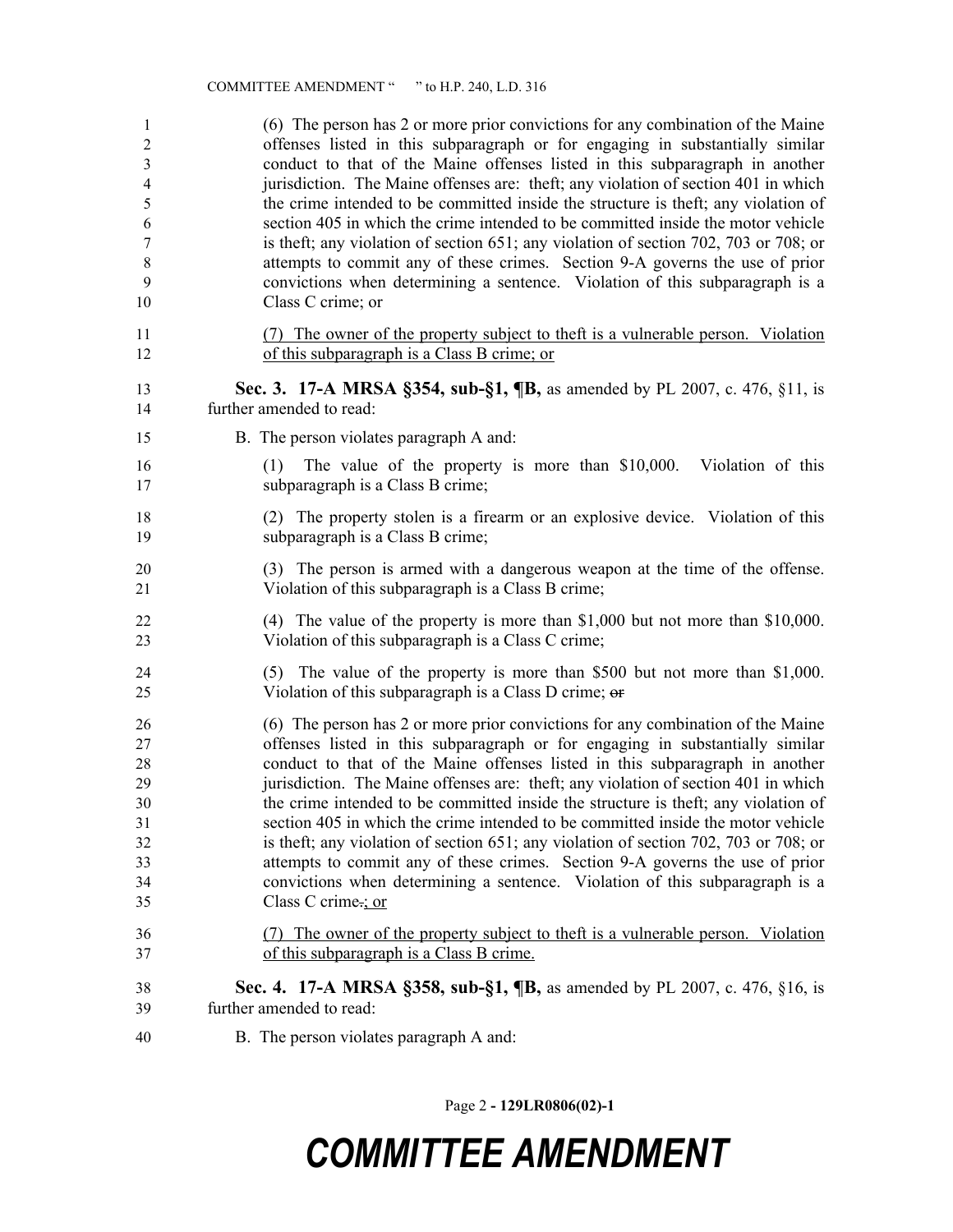| $\mathbf{1}$   | (6) The person has 2 or more prior convictions for any combination of the Maine                               |
|----------------|---------------------------------------------------------------------------------------------------------------|
| $\mathfrak{2}$ | offenses listed in this subparagraph or for engaging in substantially similar                                 |
| $\mathfrak{Z}$ | conduct to that of the Maine offenses listed in this subparagraph in another                                  |
| $\overline{4}$ | jurisdiction. The Maine offenses are: theft; any violation of section 401 in which                            |
| 5              | the crime intended to be committed inside the structure is theft; any violation of                            |
| 6              | section 405 in which the crime intended to be committed inside the motor vehicle                              |
| $\tau$         | is theft; any violation of section 651; any violation of section 702, 703 or 708; or                          |
| $\,8\,$        | attempts to commit any of these crimes. Section 9-A governs the use of prior                                  |
| 9              | convictions when determining a sentence. Violation of this subparagraph is a                                  |
| 10             | Class C crime; or                                                                                             |
| 11             | (7) The owner of the property subject to theft is a vulnerable person. Violation                              |
| 12             | of this subparagraph is a Class B crime; or                                                                   |
| 13             | Sec. 3. 17-A MRSA §354, sub-§1, ¶B, as amended by PL 2007, c. 476, §11, is                                    |
| 14             | further amended to read:                                                                                      |
| 15             | B. The person violates paragraph A and:                                                                       |
| 16<br>17       | The value of the property is more than \$10,000. Violation of this<br>(1)<br>subparagraph is a Class B crime; |
| 18             | (2) The property stolen is a firearm or an explosive device. Violation of this                                |
| 19             | subparagraph is a Class B crime;                                                                              |
| 20             | (3) The person is armed with a dangerous weapon at the time of the offense.                                   |
| 21             | Violation of this subparagraph is a Class B crime;                                                            |
| 22             | (4) The value of the property is more than \$1,000 but not more than \$10,000.                                |
| 23             | Violation of this subparagraph is a Class C crime;                                                            |
| 24             | (5) The value of the property is more than \$500 but not more than \$1,000.                                   |
| 25             | Violation of this subparagraph is a Class D crime; or                                                         |
| 26             | (6) The person has 2 or more prior convictions for any combination of the Maine                               |
| 27             | offenses listed in this subparagraph or for engaging in substantially similar                                 |
| 28             | conduct to that of the Maine offenses listed in this subparagraph in another                                  |
| 29             | jurisdiction. The Maine offenses are: theft; any violation of section 401 in which                            |
| 30             | the crime intended to be committed inside the structure is theft; any violation of                            |
| 31             | section 405 in which the crime intended to be committed inside the motor vehicle                              |
| 32             | is theft; any violation of section 651; any violation of section 702, 703 or 708; or                          |
| 33             | attempts to commit any of these crimes. Section 9-A governs the use of prior                                  |
| 34             | convictions when determining a sentence. Violation of this subparagraph is a                                  |
| 35             | Class C crime-; or                                                                                            |
| 36             | (7) The owner of the property subject to theft is a vulnerable person. Violation                              |
| 37             | of this subparagraph is a Class B crime.                                                                      |
| 38             | <b>Sec. 4.</b> 17-A MRSA §358, sub-§1, <b>[B</b> , as amended by PL 2007, c. 476, §16, is                     |
| 39             | further amended to read:                                                                                      |
| 40             | B. The person violates paragraph A and:                                                                       |

Page 2 **- 129LR0806(02)-1**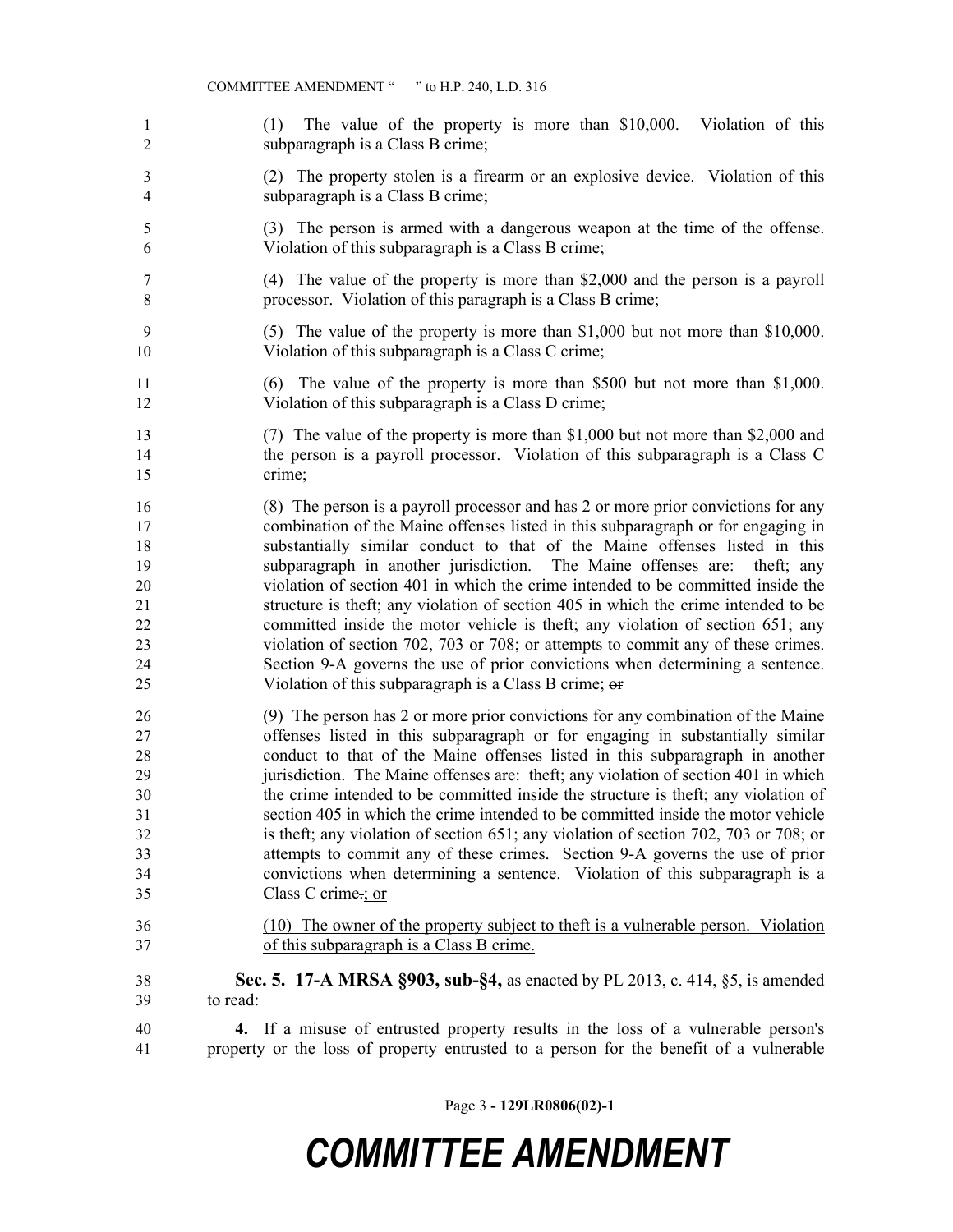- (1) The value of the property is more than \$10,000. Violation of this subparagraph is a Class B crime;
- (2) The property stolen is a firearm or an explosive device. Violation of this subparagraph is a Class B crime;
- (3) The person is armed with a dangerous weapon at the time of the offense. Violation of this subparagraph is a Class B crime;
- (4) The value of the property is more than \$2,000 and the person is a payroll processor. Violation of this paragraph is a Class B crime;
- (5) The value of the property is more than \$1,000 but not more than \$10,000. 10 Violation of this subparagraph is a Class C crime;
- (6) The value of the property is more than \$500 but not more than \$1,000. Violation of this subparagraph is a Class D crime;
- (7) The value of the property is more than \$1,000 but not more than \$2,000 and the person is a payroll processor. Violation of this subparagraph is a Class C crime;
- (8) The person is a payroll processor and has 2 or more prior convictions for any combination of the Maine offenses listed in this subparagraph or for engaging in substantially similar conduct to that of the Maine offenses listed in this subparagraph in another jurisdiction. The Maine offenses are: theft; any violation of section 401 in which the crime intended to be committed inside the structure is theft; any violation of section 405 in which the crime intended to be committed inside the motor vehicle is theft; any violation of section 651; any violation of section 702, 703 or 708; or attempts to commit any of these crimes. Section 9-A governs the use of prior convictions when determining a sentence. 25 Violation of this subparagraph is a Class B crime;  $\Theta$
- (9) The person has 2 or more prior convictions for any combination of the Maine offenses listed in this subparagraph or for engaging in substantially similar conduct to that of the Maine offenses listed in this subparagraph in another jurisdiction. The Maine offenses are: theft; any violation of section 401 in which the crime intended to be committed inside the structure is theft; any violation of section 405 in which the crime intended to be committed inside the motor vehicle is theft; any violation of section 651; any violation of section 702, 703 or 708; or attempts to commit any of these crimes. Section 9-A governs the use of prior convictions when determining a sentence. Violation of this subparagraph is a Class C crime.; or
- (10) The owner of the property subject to theft is a vulnerable person. Violation of this subparagraph is a Class B crime.
- **Sec. 5. 17-A MRSA §903, sub-§4,** as enacted by PL 2013, c. 414, §5, is amended to read:
- **4.** If a misuse of entrusted property results in the loss of a vulnerable person's property or the loss of property entrusted to a person for the benefit of a vulnerable

Page 3 **- 129LR0806(02)-1**